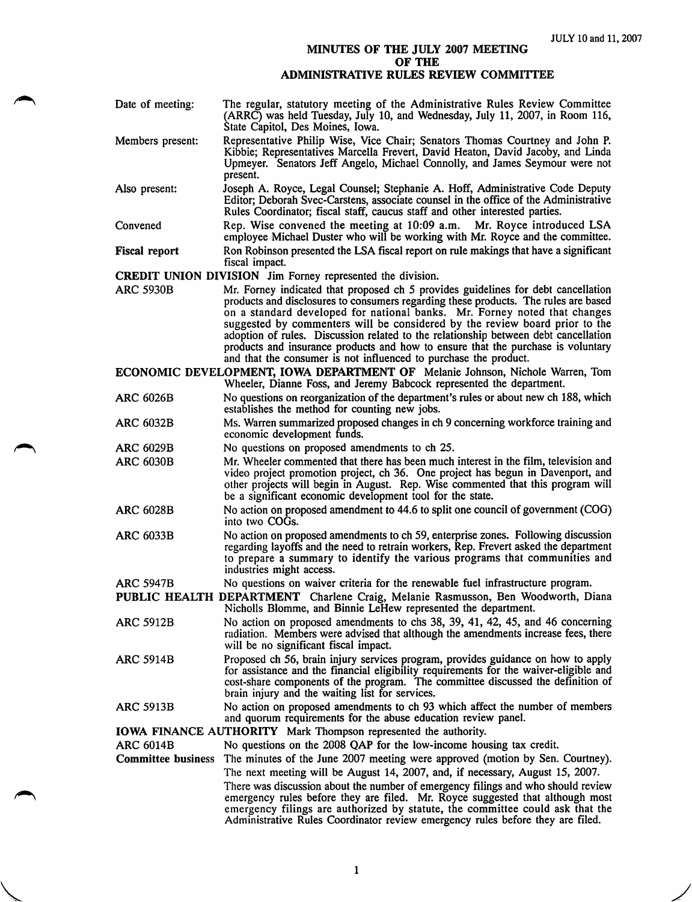## MINUTES OF THE JULY 2007 MEETING OF THE ADMINISTRATIVE RULES REVIEW COMMITTEE

| Date of meeting:          | The regular, statutory meeting of the Administrative Rules Review Committee<br>(ARRC) was held Tuesday, July 10, and Wednesday, July 11, 2007, in Room 116,<br>State Capitol, Des Moines, Iowa.                                                                                                                                                                                                                                                                                                                                                                                     |
|---------------------------|-------------------------------------------------------------------------------------------------------------------------------------------------------------------------------------------------------------------------------------------------------------------------------------------------------------------------------------------------------------------------------------------------------------------------------------------------------------------------------------------------------------------------------------------------------------------------------------|
| Members present:          | Representative Philip Wise, Vice Chair; Senators Thomas Courtney and John P.<br>Kibbie; Representatives Marcella Frevert, David Heaton, David Jacoby, and Linda<br>Upmeyer. Senators Jeff Angelo, Michael Connolly, and James Seymour were not<br>present.                                                                                                                                                                                                                                                                                                                          |
| Also present:             | Joseph A. Royce, Legal Counsel; Stephanie A. Hoff, Administrative Code Deputy<br>Editor; Deborah Svec-Carstens, associate counsel in the office of the Administrative<br>Rules Coordinator; fiscal staff, caucus staff and other interested parties.                                                                                                                                                                                                                                                                                                                                |
| Convened                  | Rep. Wise convened the meeting at 10:09 a.m. Mr. Royce introduced LSA<br>employee Michael Duster who will be working with Mr. Royce and the committee.                                                                                                                                                                                                                                                                                                                                                                                                                              |
| <b>Fiscal report</b>      | Ron Robinson presented the LSA fiscal report on rule makings that have a significant<br>fiscal impact.                                                                                                                                                                                                                                                                                                                                                                                                                                                                              |
|                           | <b>CREDIT UNION DIVISION</b> Jim Forney represented the division.                                                                                                                                                                                                                                                                                                                                                                                                                                                                                                                   |
| <b>ARC 5930B</b>          | Mr. Forney indicated that proposed ch 5 provides guidelines for debt cancellation<br>products and disclosures to consumers regarding these products. The rules are based<br>on a standard developed for national banks. Mr. Forney noted that changes<br>suggested by commenters will be considered by the review board prior to the<br>adoption of rules. Discussion related to the relationship between debt cancellation<br>products and insurance products and how to ensure that the purchase is voluntary<br>and that the consumer is not influenced to purchase the product. |
|                           | <b>ECONOMIC DEVELOPMENT, IOWA DEPARTMENT OF</b> Melanie Johnson, Nichole Warren, Tom<br>Wheeler, Dianne Foss, and Jeremy Babcock represented the department.                                                                                                                                                                                                                                                                                                                                                                                                                        |
| <b>ARC 6026B</b>          | No questions on reorganization of the department's rules or about new ch 188, which<br>establishes the method for counting new jobs.                                                                                                                                                                                                                                                                                                                                                                                                                                                |
| ARC 6032B                 | Ms. Warren summarized proposed changes in ch 9 concerning workforce training and<br>economic development funds.                                                                                                                                                                                                                                                                                                                                                                                                                                                                     |
| <b>ARC 6029B</b>          | No questions on proposed amendments to ch 25.                                                                                                                                                                                                                                                                                                                                                                                                                                                                                                                                       |
| <b>ARC 6030B</b>          | Mr. Wheeler commented that there has been much interest in the film, television and<br>video project promotion project, ch 36. One project has begun in Davenport, and<br>other projects will begin in August. Rep. Wise commented that this program will<br>be a significant economic development tool for the state.                                                                                                                                                                                                                                                              |
| <b>ARC 6028B</b>          | No action on proposed amendment to 44.6 to split one council of government (COG)<br>into two COGs.                                                                                                                                                                                                                                                                                                                                                                                                                                                                                  |
| <b>ARC 6033B</b>          | No action on proposed amendments to ch 59, enterprise zones. Following discussion<br>regarding layoffs and the need to retrain workers, Rep. Frevert asked the department<br>to prepare a summary to identify the various programs that communities and<br>industries might access.                                                                                                                                                                                                                                                                                                 |
| <b>ARC 5947B</b>          | No questions on waiver criteria for the renewable fuel infrastructure program.                                                                                                                                                                                                                                                                                                                                                                                                                                                                                                      |
|                           | PUBLIC HEALTH DEPARTMENT Charlene Craig, Melanie Rasmusson, Ben Woodworth, Diana<br>Nicholls Blomme, and Binnie LeHew represented the department.                                                                                                                                                                                                                                                                                                                                                                                                                                   |
| ARC 5912B                 | No action on proposed amendments to chs 38, 39, 41, 42, 45, and 46 concerning<br>radiation. Members were advised that although the amendments increase fees, there<br>will be no significant fiscal impact.                                                                                                                                                                                                                                                                                                                                                                         |
| <b>ARC 5914B</b>          | Proposed ch 56, brain injury services program, provides guidance on how to apply<br>for assistance and the financial eligibility requirements for the waiver-eligible and<br>cost-share components of the program. The committee discussed the definition of<br>brain injury and the waiting list for services.                                                                                                                                                                                                                                                                     |
| <b>ARC 5913B</b>          | No action on proposed amendments to ch 93 which affect the number of members<br>and quorum requirements for the abuse education review panel.                                                                                                                                                                                                                                                                                                                                                                                                                                       |
|                           | IOWA FINANCE AUTHORITY Mark Thompson represented the authority.                                                                                                                                                                                                                                                                                                                                                                                                                                                                                                                     |
| <b>ARC 6014B</b>          | No questions on the 2008 QAP for the low-income housing tax credit.                                                                                                                                                                                                                                                                                                                                                                                                                                                                                                                 |
| <b>Committee business</b> | The minutes of the June 2007 meeting were approved (motion by Sen. Courtney).                                                                                                                                                                                                                                                                                                                                                                                                                                                                                                       |
|                           | The next meeting will be August 14, 2007, and, if necessary, August 15, 2007.<br>There was discussion about the number of emergency filings and who should review<br>emergency rules before they are filed. Mr. Royce suggested that although most<br>emergency filings are authorized by statute, the committee could ask that the<br>Administrative Rules Coordinator review emergency rules before they are filed.                                                                                                                                                               |

 $\mathbf{1}$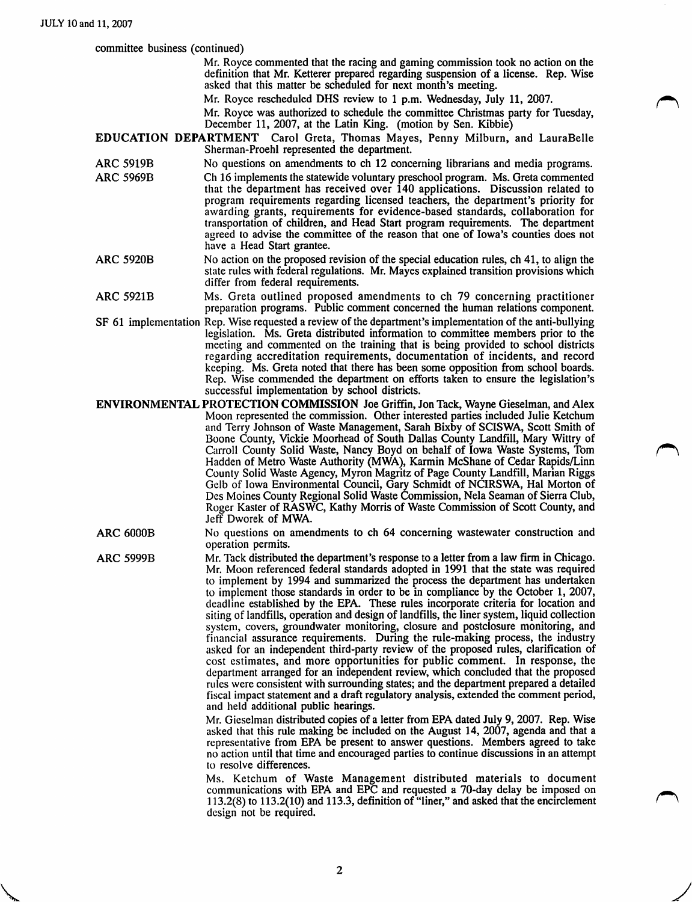committee business (continued)

Mr. Royce commented that the racing and gaming commission took no action on the definition that Mr. Ketterer prepared regarding suspension of a license. Rep. Wise asked that this matter be scheduled for next month's meeting.

Mr. Royce rescheduled DHS review to 1 p.m. Wednesday, July 11, 2007.

Mr. Royce was authorized to schedule the committee Christmas party for Tuesday, December 11, 2007, at the Latin King, (motion by Sen. Kibbie)

EDUCATION DEPARTMENT Carol Greta, Thomas Mayes, Penny Milburn, and LauraBelle Sherman-Proehl represented the department.

- ARC 5919B No questions on amendments to ch 12 concerning librarians and media programs.<br>ARC 5969B Ch 16 implements the statewide voluntary preschool program. Ms. Greta commented Ch 16 implements the statewide voluntary preschool program. Ms. Greta commented that the department has received over 140 applications. Discussion related to program requirements regarding licensed teachers, the department's priority for awarding grants, requirements for evidence-based standards, collaboration for transportation of children, and Head Start program requirements. The department agreed to advise the committee of the reason that one of Iowa's counties does not have a Head Start grantee.
- ARC 5920B No action on the proposed revision of the special education rules, ch 41, to align the state rules with federal regulations. Mr. Mayes explained transition provisions which differ from federal requirements.
- ARC 5921B Ms. Greta outlined proposed amendments to ch 79 concerning practitioner preparation programs. Public comment concerned the human relations component.
- SF 61 implementation Rep. Wise requested a review of the department's implementation of the anti-bullying legislation. Ms. Greta distributed information to committee members prior to the meeting and commented on the training that is being provided to school districts regarding accreditation requirements, documentation of incidents, and record keeping. Ms. Greta noted that there has been some opposition from school boards. Rep. Wise commended the department on efforts taken to ensure the legislation's successful implementation by school districts.
- ENVIRONMENTAL PROTECTION COMMISSION Joe Griffin, Jon Tack, Wayne Gieselman, and Alex Moon represented the commission. Other interested parties included Julie Ketchum and Terry Johnson of Waste Management, Sarah Bixby of SCISWA, Scott Smith of Boone County, Vickie Moorhead of South Dallas County Landfill, Mary Wittry of Carroll County Solid Waste, Nancy Boyd on behalf of Iowa Waste Systems, Tom Hadden of Metro Waste Authority (MWA), Karmin McShane of Cedar Rapids/Linn County Solid Waste Agency, Myron Magritz of Page County Landfill, Marian Riggs Gelb of Iowa Environmental Council, Gary Schmidt of NCIRSWA, Hal Morton of Des Moines County Regional Solid Waste Commission, Nela Seaman of Sierra Club, Roger Kaster of RASWC, Kathy Morris of Waste Commission of Scott County, and Jeff Dworek of MWA.
- ARC 6000B No questions on amendments to ch 64 concerning wastewater construction and operation permits.
- ARC 5999B Mr. Tack distributed the department's response to a letter from a law firm in Chicago. Mr. Moon referenced federal standards adopted in 1991 that the state was required to implement by 1994 and summarized the process the department has undertaken to implement those standards in order to be in compliance by the October 1, 2007, deadline established by the EPA. These rules incorporate criteria for location and siting of landfills, operation and design of landfills, the liner system, liquid collection system, covers, groundwater monitoring, closure and postclosure monitoring, and financial assurance requirements. During the rule-making process, the industry asked for an independent third-party review of the proposed rules, clarification of cost estimates, and more opportunities for public comment. In response, the department arranged for an independent review, which concluded that the proposed rules were consistent with surrounding states; and the department prepared a detailed fiscal impact statement and a draft regulatory analysis, extended the comment period, and held additional public hearings.

Mr. Gieselman distributed copies of a letter from EPA dated July 9, 2007. Rep. Wise asked that this rule making be included on the August 14, 2007, agenda and that a representative from EPA be present to answer questions. Members agreed to take no action until that time and encouraged parties to continue discussions in an attempt to resolve differences.

Ms. Ketchum of Waste Management distributed materials to document communications with EPA and EPC and requested a 70-day delay be imposed on 113.2(8) to 113.2(10) and 113.3, definition of "liner," and asked that the encirclement design not be required.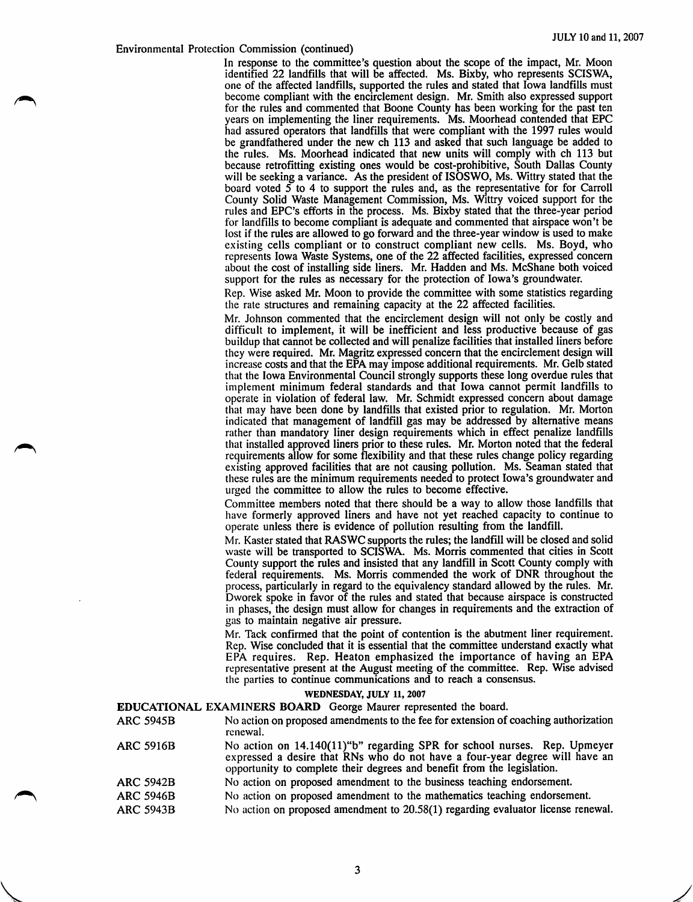## Environmental Protection Commission (continued)

In response to the committee's question about the scope of the impact, Mr. Moon identified 22 landfills that will be affected. Ms. Bixby, who represents SCISWA, one of the affected landfills, supported the rules and stated that Iowa landfills must become compliant with the encirclement design. Mr. Smith also expressed support for the rules and commented that Boone County has been working for the past ten years on implementing the liner requirements. Ms. Moorhead contended that EPC had assured operators that landfills that were compliant with the 1997 rules would be grandfathered under the new ch 113 and asked that such language be added to the rules. Ms. Moorhead indicated that new units will comply with ch 113 but because retrofitting existing ones would be cost-prohibitive. South Dallas County will be seeking a variance. As the president of ISOSWO, Ms. Wittry stated that the board voted  $5$  to 4 to support the rules and, as the representative for for Carroll County Solid Waste Management Commission, Ms. Wittry voiced support for the rules and EEC's efforts in the process. Ms. Bixby stated that the three-year period for landfills to become compliant is adequate and commented that airspace won't be lost if the rules are allowed to go forward and the three-year window is used to make existing cells compliant or to construct compliant new cells. Ms. Boyd, who represents Iowa Waste Systems, one of the 22 affected facilities, expressed concern about the cost of installing side liners. Mr. Hadden and Ms. McShane both voiced support for the rules as necessary for the protection of Iowa's groundwater.

Rep. Wise asked Mr. Moon to provide the committee with some statistics regarding the rate structures and remaining capacity at the 22 affected facilities.

Mr. Johnson commented that the encirclement design will not only be costly and difficult to implement, it will be inefficient and less productive because of gas buildup that cannot be collected and will penalize facilities that installed liners before they were required. Mr. Magritz expressed concern that the encirclement design will increase costs and that the EPA may impose additional requirements. Mr. Gelb stated that the Iowa Environmental Council strongly supports these long overdue rules that implement minimum federal standards and that Iowa cannot permit landfills to operate in violation of federal law. Mr. Schmidt expressed concern about damage that may have been done by landfills that existed prior to regulation. Mr. Morton indicated that management of landfill gas may be addressed by alternative means rather than mandatory liner design requirements which in effect penalize landfills that installed approved liners prior to these rules. Mr. Morton noted that the federal requirements allow for some flexibility and that these rules change policy regarding existing approved facilities that are not causing pollution. Ms. Seaman stated that these rules are the minimum requirements needed to protect Iowa's groundwater and urged the committee to allow the rules to become effective.

Committee members noted that there should be a way to allow those landfills that have formerly approved liners and have not yet reached capacity to continue to operate unless there is evidence of pollution resulting from the landfill.

Mr. Raster stated that RASWC supports the rules; the landfill will be closed and solid waste will be transported to SCISWA. Ms. Morris commented that cities in Scott County support the rules and insisted that any landfill in Scott County comply with federal requirements. Ms. Morris commended the work of DNR throughout the process, particularly in regard to the equivalency standard allowed by the rules. Mr. Dworek spoke in favor of the rules and stated that because airspace is constructed in phases, the design must allow for changes in requirements and the extraction of gas to maintain negative air pressure.

Mr. Tack confirmed that the point of contention is the abutment liner requirement. Rep. Wise concluded that it is essential that the committee understand exactly what EPA requires. Rep. Heaton emphasized the importance of having an EPA representative present at the August meeting of the committee. Rep. Wise advised the parties to continue communications and to reach a consensus.

## WEDNESDAY, JULY 11, 2007

- **EDUCATIONAL EXAMINERS BOARD** George Maurer represented the board.<br>ARC 5945B No action on proposed amendments to the fee for extension of No action on proposed amendments to the fee for extension of coaching authorization renewal.
- ARC 5916B No action on 14.140(ll)"b" regarding SPR for school nurses. Rep. Upmeyer expressed a desire that RNs who do not have a four-year degree will have an opportunity to complete their degrees and benefit from the legislation.
- ARC 5942B No action on proposed amendment to the business teaching endorsement.
- ARC 5946B No action on proposed amendment to the mathematics teaching endorsement.
- ARC 5943B No action on proposed amendment to 20.58(1) regarding evaluator license renewal.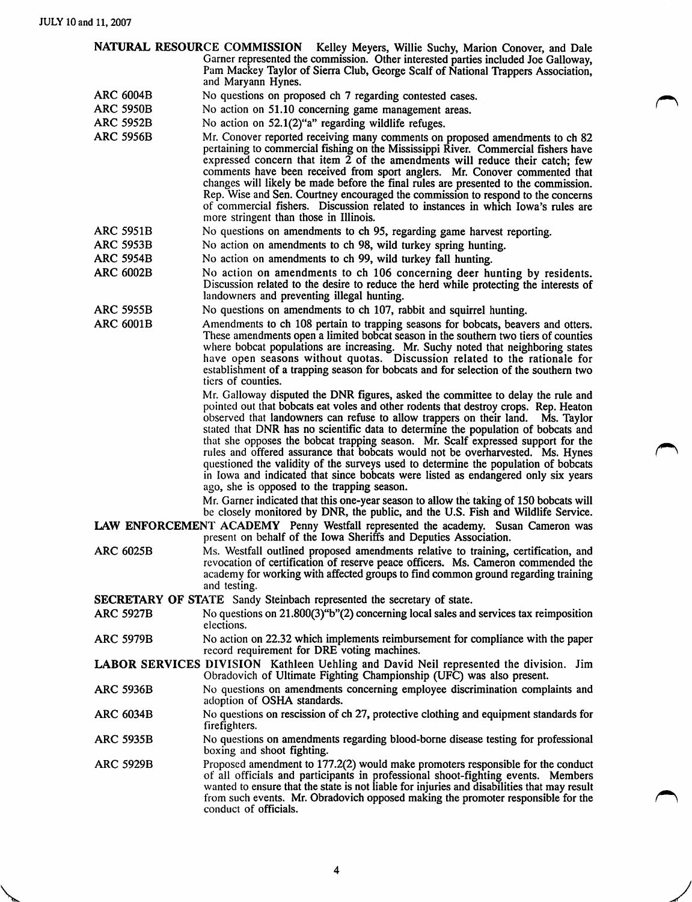|                                                                               | NATURAL RESOURCE COMMISSION<br>Kelley Meyers, Willie Suchy, Marion Conover, and Dale<br>Garner represented the commission. Other interested parties included Joe Galloway,<br>Pam Mackey Taylor of Sierra Club, George Scalf of National Trappers Association,                                                                                                                                                                                                                                                                                                                                                                                                                                                                                   |  |
|-------------------------------------------------------------------------------|--------------------------------------------------------------------------------------------------------------------------------------------------------------------------------------------------------------------------------------------------------------------------------------------------------------------------------------------------------------------------------------------------------------------------------------------------------------------------------------------------------------------------------------------------------------------------------------------------------------------------------------------------------------------------------------------------------------------------------------------------|--|
|                                                                               | and Maryann Hynes.                                                                                                                                                                                                                                                                                                                                                                                                                                                                                                                                                                                                                                                                                                                               |  |
| <b>ARC 6004B</b>                                                              | No questions on proposed ch 7 regarding contested cases.                                                                                                                                                                                                                                                                                                                                                                                                                                                                                                                                                                                                                                                                                         |  |
| <b>ARC 5950B</b>                                                              | No action on 51.10 concerning game management areas.                                                                                                                                                                                                                                                                                                                                                                                                                                                                                                                                                                                                                                                                                             |  |
| <b>ARC 5952B</b>                                                              | No action on 52.1(2)"a" regarding wildlife refuges.                                                                                                                                                                                                                                                                                                                                                                                                                                                                                                                                                                                                                                                                                              |  |
| <b>ARC 5956B</b>                                                              | Mr. Conover reported receiving many comments on proposed amendments to ch 82<br>pertaining to commercial fishing on the Mississippi River. Commercial fishers have<br>expressed concern that item $\tilde{2}$ of the amendments will reduce their catch; few<br>comments have been received from sport anglers. Mr. Conover commented that<br>changes will likely be made before the final rules are presented to the commission.<br>Rep. Wise and Sen. Courtney encouraged the commission to respond to the concerns<br>of commercial fishers. Discussion related to instances in which Iowa's rules are<br>more stringent than those in Illinois.                                                                                              |  |
| <b>ARC 5951B</b>                                                              | No questions on amendments to ch 95, regarding game harvest reporting.                                                                                                                                                                                                                                                                                                                                                                                                                                                                                                                                                                                                                                                                           |  |
| <b>ARC 5953B</b>                                                              | No action on amendments to ch 98, wild turkey spring hunting.                                                                                                                                                                                                                                                                                                                                                                                                                                                                                                                                                                                                                                                                                    |  |
| <b>ARC 5954B</b>                                                              | No action on amendments to ch 99, wild turkey fall hunting.                                                                                                                                                                                                                                                                                                                                                                                                                                                                                                                                                                                                                                                                                      |  |
| <b>ARC 6002B</b>                                                              | No action on amendments to ch 106 concerning deer hunting by residents.<br>Discussion related to the desire to reduce the herd while protecting the interests of<br>landowners and preventing illegal hunting.                                                                                                                                                                                                                                                                                                                                                                                                                                                                                                                                   |  |
| <b>ARC 5955B</b>                                                              | No questions on amendments to ch 107, rabbit and squirrel hunting.                                                                                                                                                                                                                                                                                                                                                                                                                                                                                                                                                                                                                                                                               |  |
| <b>ARC 6001B</b>                                                              | Amendments to ch 108 pertain to trapping seasons for bobcats, beavers and otters.<br>These amendments open a limited bobcat season in the southern two tiers of counties<br>where bobcat populations are increasing. Mr. Suchy noted that neighboring states<br>have open seasons without quotas. Discussion related to the rationale for<br>establishment of a trapping season for bobcats and for selection of the southern two<br>tiers of counties.                                                                                                                                                                                                                                                                                          |  |
|                                                                               | Mr. Galloway disputed the DNR figures, asked the committee to delay the rule and<br>pointed out that bobcats eat voles and other rodents that destroy crops. Rep. Heaton<br>observed that landowners can refuse to allow trappers on their land. Ms. Taylor<br>stated that DNR has no scientific data to determine the population of bobcats and<br>that she opposes the bobcat trapping season. Mr. Scalf expressed support for the<br>rules and offered assurance that bobcats would not be overharvested. Ms. Hynes<br>questioned the validity of the surveys used to determine the population of bobcats<br>in Iowa and indicated that since bobcats were listed as endangered only six years<br>ago, she is opposed to the trapping season. |  |
|                                                                               | Mr. Garner indicated that this one-year season to allow the taking of 150 bobcats will<br>be closely monitored by DNR, the public, and the U.S. Fish and Wildlife Service.<br>LAW ENFORCEMENT ACADEMY Penny Westfall represented the academy. Susan Cameron was                                                                                                                                                                                                                                                                                                                                                                                                                                                                                  |  |
| present on behalf of the Iowa Sheriffs and Deputies Association.              |                                                                                                                                                                                                                                                                                                                                                                                                                                                                                                                                                                                                                                                                                                                                                  |  |
| <b>ARC 6025B</b>                                                              | Ms. Westfall outlined proposed amendments relative to training, certification, and<br>revocation of certification of reserve peace officers. Ms. Cameron commended the<br>academy for working with affected groups to find common ground regarding training<br>and testing.                                                                                                                                                                                                                                                                                                                                                                                                                                                                      |  |
| <b>SECRETARY OF STATE</b> Sandy Steinbach represented the secretary of state. |                                                                                                                                                                                                                                                                                                                                                                                                                                                                                                                                                                                                                                                                                                                                                  |  |
| <b>ARC 5927B</b>                                                              | No questions on 21.800(3)"b"(2) concerning local sales and services tax reimposition<br>elections.                                                                                                                                                                                                                                                                                                                                                                                                                                                                                                                                                                                                                                               |  |
| <b>ARC 5979B</b>                                                              | No action on 22.32 which implements reimbursement for compliance with the paper<br>record requirement for DRE voting machines.                                                                                                                                                                                                                                                                                                                                                                                                                                                                                                                                                                                                                   |  |
|                                                                               | <b>LABOR SERVICES DIVISION</b> Kathleen Uehling and David Neil represented the division. Jim<br>Obradovich of Ultimate Fighting Championship (UFC) was also present.                                                                                                                                                                                                                                                                                                                                                                                                                                                                                                                                                                             |  |
| <b>ARC 5936B</b>                                                              | No questions on amendments concerning employee discrimination complaints and<br>adoption of OSHA standards.                                                                                                                                                                                                                                                                                                                                                                                                                                                                                                                                                                                                                                      |  |
| <b>ARC 6034B</b>                                                              | No questions on rescission of ch 27, protective clothing and equipment standards for<br>firefighters.                                                                                                                                                                                                                                                                                                                                                                                                                                                                                                                                                                                                                                            |  |
| ARC 5935B                                                                     | No questions on amendments regarding blood-borne disease testing for professional<br>boxing and shoot fighting.                                                                                                                                                                                                                                                                                                                                                                                                                                                                                                                                                                                                                                  |  |
| <b>ARC 5929B</b>                                                              | Proposed amendment to 177.2(2) would make promoters responsible for the conduct<br>of all officials and participants in professional shoot-fighting events. Members<br>wanted to ensure that the state is not liable for injuries and disabilities that may result<br>from such events. Mr. Obradovich opposed making the promoter responsible for the<br>conduct of officials.                                                                                                                                                                                                                                                                                                                                                                  |  |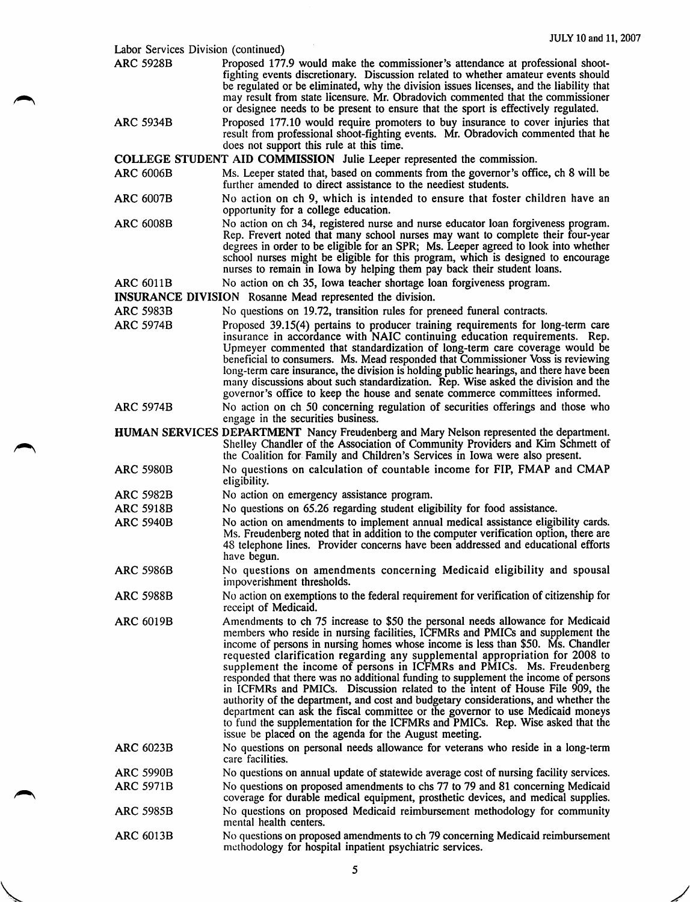| Labor Services Division (continued) |                                                                                                                                                                                                                                                                                                                                                                                                                                                                                                                                                                                                                                                                                                                                                                                                                                                                                                       |
|-------------------------------------|-------------------------------------------------------------------------------------------------------------------------------------------------------------------------------------------------------------------------------------------------------------------------------------------------------------------------------------------------------------------------------------------------------------------------------------------------------------------------------------------------------------------------------------------------------------------------------------------------------------------------------------------------------------------------------------------------------------------------------------------------------------------------------------------------------------------------------------------------------------------------------------------------------|
| <b>ARC 5928B</b>                    | Proposed 177.9 would make the commissioner's attendance at professional shoot-<br>fighting events discretionary. Discussion related to whether amateur events should<br>be regulated or be eliminated, why the division issues licenses, and the liability that<br>may result from state licensure. Mr. Obradovich commented that the commissioner<br>or designee needs to be present to ensure that the sport is effectively regulated.                                                                                                                                                                                                                                                                                                                                                                                                                                                              |
| <b>ARC 5934B</b>                    | Proposed 177.10 would require promoters to buy insurance to cover injuries that<br>result from professional shoot-fighting events. Mr. Obradovich commented that he<br>does not support this rule at this time.                                                                                                                                                                                                                                                                                                                                                                                                                                                                                                                                                                                                                                                                                       |
|                                     | COLLEGE STUDENT AID COMMISSION Julie Leeper represented the commission.                                                                                                                                                                                                                                                                                                                                                                                                                                                                                                                                                                                                                                                                                                                                                                                                                               |
| <b>ARC 6006B</b>                    | Ms. Leeper stated that, based on comments from the governor's office, ch 8 will be<br>further amended to direct assistance to the neediest students.                                                                                                                                                                                                                                                                                                                                                                                                                                                                                                                                                                                                                                                                                                                                                  |
| <b>ARC 6007B</b>                    | No action on ch 9, which is intended to ensure that foster children have an<br>opportunity for a college education.                                                                                                                                                                                                                                                                                                                                                                                                                                                                                                                                                                                                                                                                                                                                                                                   |
| <b>ARC 6008B</b>                    | No action on ch 34, registered nurse and nurse educator loan forgiveness program.<br>Rep. Frevert noted that many school nurses may want to complete their four-year<br>degrees in order to be eligible for an SPR; Ms. Leeper agreed to look into whether<br>school nurses might be eligible for this program, which is designed to encourage<br>nurses to remain in Iowa by helping them pay back their student loans.                                                                                                                                                                                                                                                                                                                                                                                                                                                                              |
| <b>ARC 6011B</b>                    | No action on ch 35, Iowa teacher shortage loan forgiveness program.                                                                                                                                                                                                                                                                                                                                                                                                                                                                                                                                                                                                                                                                                                                                                                                                                                   |
|                                     | <b>INSURANCE DIVISION</b> Rosanne Mead represented the division.                                                                                                                                                                                                                                                                                                                                                                                                                                                                                                                                                                                                                                                                                                                                                                                                                                      |
| <b>ARC 5983B</b>                    | No questions on 19.72, transition rules for preneed funeral contracts.                                                                                                                                                                                                                                                                                                                                                                                                                                                                                                                                                                                                                                                                                                                                                                                                                                |
| <b>ARC 5974B</b>                    | Proposed 39.15(4) pertains to producer training requirements for long-term care<br>insurance in accordance with NAIC continuing education requirements. Rep.<br>Upmeyer commented that standardization of long-term care coverage would be<br>beneficial to consumers. Ms. Mead responded that Commissioner Voss is reviewing<br>long-term care insurance, the division is holding public hearings, and there have been<br>many discussions about such standardization. Rep. Wise asked the division and the<br>governor's office to keep the house and senate commerce committees informed.                                                                                                                                                                                                                                                                                                          |
| <b>ARC 5974B</b>                    | No action on ch 50 concerning regulation of securities offerings and those who<br>engage in the securities business.                                                                                                                                                                                                                                                                                                                                                                                                                                                                                                                                                                                                                                                                                                                                                                                  |
|                                     | <b>HUMAN SERVICES DEPARTMENT</b> Nancy Freudenberg and Mary Nelson represented the department.<br>Shelley Chandler of the Association of Community Providers and Kim Schmett of<br>the Coalition for Family and Children's Services in Iowa were also present.                                                                                                                                                                                                                                                                                                                                                                                                                                                                                                                                                                                                                                        |
| <b>ARC 5980B</b>                    | No questions on calculation of countable income for FIP, FMAP and CMAP<br>eligibility.                                                                                                                                                                                                                                                                                                                                                                                                                                                                                                                                                                                                                                                                                                                                                                                                                |
| ARC 5982B                           | No action on emergency assistance program.                                                                                                                                                                                                                                                                                                                                                                                                                                                                                                                                                                                                                                                                                                                                                                                                                                                            |
| <b>ARC 5918B</b>                    | No questions on 65.26 regarding student eligibility for food assistance.                                                                                                                                                                                                                                                                                                                                                                                                                                                                                                                                                                                                                                                                                                                                                                                                                              |
| <b>ARC 5940B</b>                    | No action on amendments to implement annual medical assistance eligibility cards.<br>Ms. Freudenberg noted that in addition to the computer verification option, there are<br>48 telephone lines. Provider concerns have been addressed and educational efforts<br>have begun.                                                                                                                                                                                                                                                                                                                                                                                                                                                                                                                                                                                                                        |
| <b>ARC 5986B</b>                    | No questions on amendments concerning Medicaid eligibility and spousal<br>impoverishment thresholds.                                                                                                                                                                                                                                                                                                                                                                                                                                                                                                                                                                                                                                                                                                                                                                                                  |
| <b>ARC 5988B</b>                    | No action on exemptions to the federal requirement for verification of citizenship for<br>receipt of Medicaid.                                                                                                                                                                                                                                                                                                                                                                                                                                                                                                                                                                                                                                                                                                                                                                                        |
| <b>ARC 6019B</b>                    | Amendments to ch 75 increase to \$50 the personal needs allowance for Medicaid<br>members who reside in nursing facilities, ICFMRs and PMICs and supplement the<br>income of persons in nursing homes whose income is less than \$50. Ms. Chandler<br>requested clarification regarding any supplemental appropriation for 2008 to<br>supplement the income of persons in ICFMRs and PMICs. Ms. Freudenberg<br>responded that there was no additional funding to supplement the income of persons<br>in ICFMRs and PMICs. Discussion related to the intent of House File 909, the<br>authority of the department, and cost and budgetary considerations, and whether the<br>department can ask the fiscal committee or the governor to use Medicaid moneys<br>to fund the supplementation for the ICFMRs and PMICs. Rep. Wise asked that the<br>issue be placed on the agenda for the August meeting. |
| <b>ARC 6023B</b>                    | No questions on personal needs allowance for veterans who reside in a long-term<br>care facilities.                                                                                                                                                                                                                                                                                                                                                                                                                                                                                                                                                                                                                                                                                                                                                                                                   |
| <b>ARC 5990B</b>                    | No questions on annual update of statewide average cost of nursing facility services.                                                                                                                                                                                                                                                                                                                                                                                                                                                                                                                                                                                                                                                                                                                                                                                                                 |
| <b>ARC 5971B</b>                    | No questions on proposed amendments to chs 77 to 79 and 81 concerning Medicaid<br>coverage for durable medical equipment, prosthetic devices, and medical supplies.                                                                                                                                                                                                                                                                                                                                                                                                                                                                                                                                                                                                                                                                                                                                   |
| <b>ARC 5985B</b>                    | No questions on proposed Medicaid reimbursement methodology for community<br>mental health centers.                                                                                                                                                                                                                                                                                                                                                                                                                                                                                                                                                                                                                                                                                                                                                                                                   |
| <b>ARC 6013B</b>                    | No questions on proposed amendments to ch 79 concerning Medicaid reimbursement<br>methodology for hospital inpatient psychiatric services.                                                                                                                                                                                                                                                                                                                                                                                                                                                                                                                                                                                                                                                                                                                                                            |